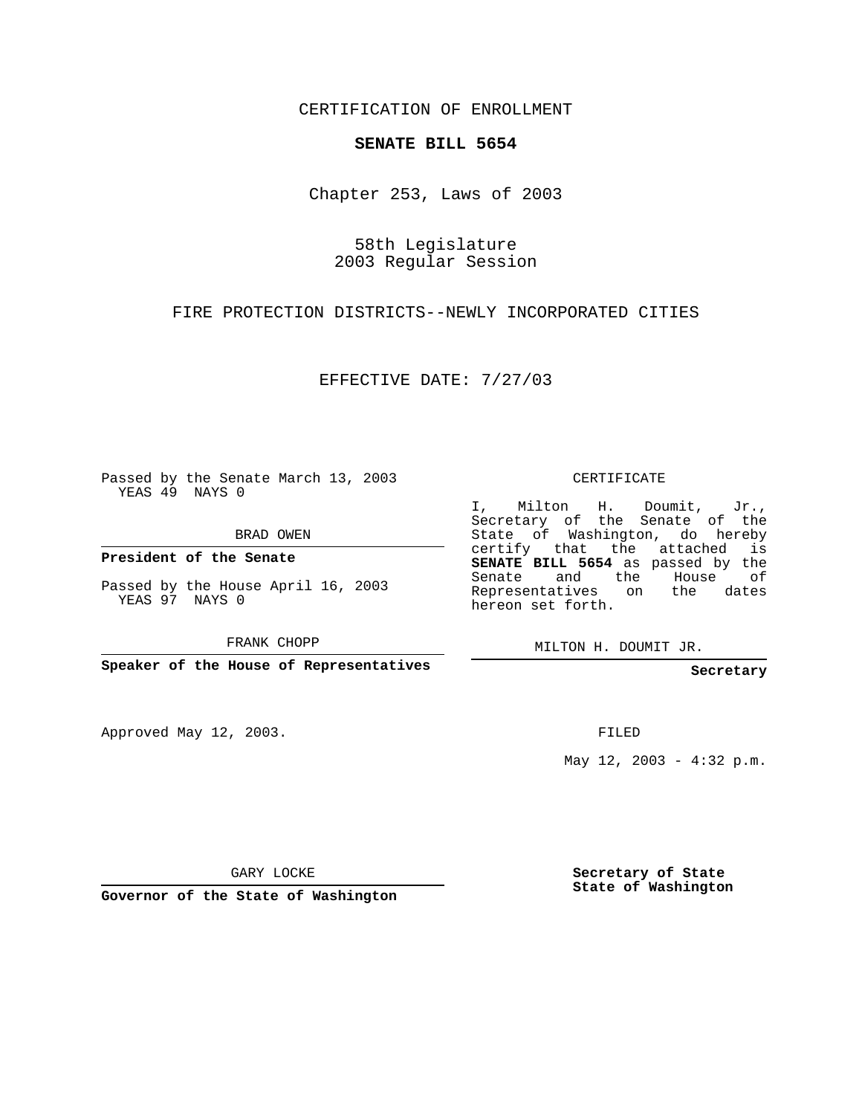CERTIFICATION OF ENROLLMENT

## **SENATE BILL 5654**

Chapter 253, Laws of 2003

58th Legislature 2003 Regular Session

FIRE PROTECTION DISTRICTS--NEWLY INCORPORATED CITIES

EFFECTIVE DATE: 7/27/03

Passed by the Senate March 13, 2003 YEAS 49 NAYS 0

BRAD OWEN

**President of the Senate**

Passed by the House April 16, 2003 YEAS 97 NAYS 0

FRANK CHOPP

**Speaker of the House of Representatives**

Approved May 12, 2003.

CERTIFICATE

I, Milton H. Doumit, Jr., Secretary of the Senate of the State of Washington, do hereby certify that the attached is **SENATE BILL 5654** as passed by the Senate and the House of Representatives on the dates hereon set forth.

MILTON H. DOUMIT JR.

**Secretary**

FILED

May 12, 2003 - 4:32 p.m.

GARY LOCKE

**Governor of the State of Washington**

**Secretary of State State of Washington**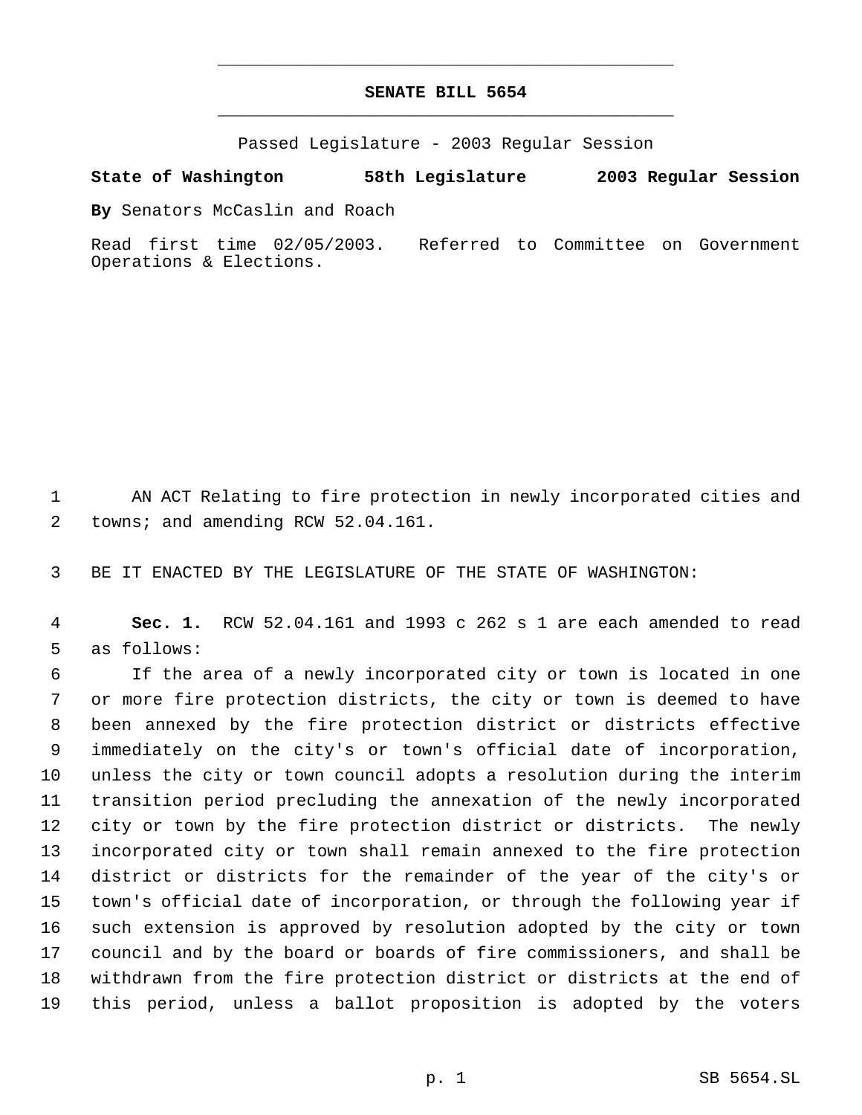## **SENATE BILL 5654** \_\_\_\_\_\_\_\_\_\_\_\_\_\_\_\_\_\_\_\_\_\_\_\_\_\_\_\_\_\_\_\_\_\_\_\_\_\_\_\_\_\_\_\_\_

\_\_\_\_\_\_\_\_\_\_\_\_\_\_\_\_\_\_\_\_\_\_\_\_\_\_\_\_\_\_\_\_\_\_\_\_\_\_\_\_\_\_\_\_\_

Passed Legislature - 2003 Regular Session

## **State of Washington 58th Legislature 2003 Regular Session**

**By** Senators McCaslin and Roach

Read first time 02/05/2003. Referred to Committee on Government Operations & Elections.

 AN ACT Relating to fire protection in newly incorporated cities and 2 towns; and amending RCW 52.04.161.

BE IT ENACTED BY THE LEGISLATURE OF THE STATE OF WASHINGTON:

 **Sec. 1.** RCW 52.04.161 and 1993 c 262 s 1 are each amended to read as follows:

 If the area of a newly incorporated city or town is located in one or more fire protection districts, the city or town is deemed to have been annexed by the fire protection district or districts effective immediately on the city's or town's official date of incorporation, unless the city or town council adopts a resolution during the interim transition period precluding the annexation of the newly incorporated city or town by the fire protection district or districts. The newly incorporated city or town shall remain annexed to the fire protection district or districts for the remainder of the year of the city's or town's official date of incorporation, or through the following year if such extension is approved by resolution adopted by the city or town council and by the board or boards of fire commissioners, and shall be withdrawn from the fire protection district or districts at the end of this period, unless a ballot proposition is adopted by the voters